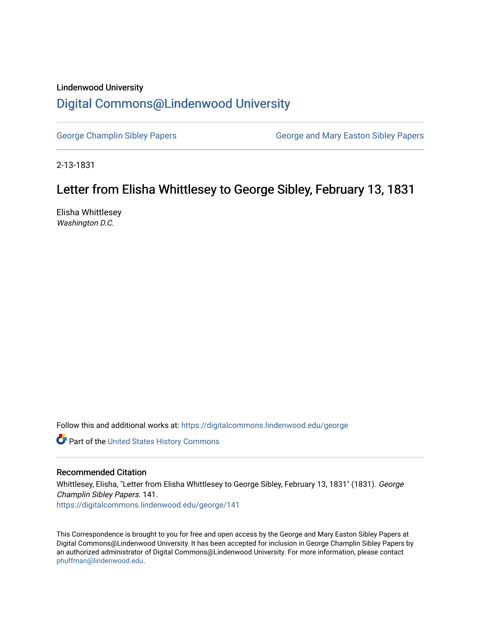## Lindenwood University [Digital Commons@Lindenwood University](https://digitalcommons.lindenwood.edu/)

[George Champlin Sibley Papers](https://digitalcommons.lindenwood.edu/george) George and Mary Easton Sibley Papers

2-13-1831

## Letter from Elisha Whittlesey to George Sibley, February 13, 1831

Elisha Whittlesey Washington D.C.

Follow this and additional works at: [https://digitalcommons.lindenwood.edu/george](https://digitalcommons.lindenwood.edu/george?utm_source=digitalcommons.lindenwood.edu%2Fgeorge%2F141&utm_medium=PDF&utm_campaign=PDFCoverPages)

Part of the [United States History Commons](http://network.bepress.com/hgg/discipline/495?utm_source=digitalcommons.lindenwood.edu%2Fgeorge%2F141&utm_medium=PDF&utm_campaign=PDFCoverPages) 

## Recommended Citation

Whittlesey, Elisha, "Letter from Elisha Whittlesey to George Sibley, February 13, 1831" (1831). George Champlin Sibley Papers. 141. [https://digitalcommons.lindenwood.edu/george/141](https://digitalcommons.lindenwood.edu/george/141?utm_source=digitalcommons.lindenwood.edu%2Fgeorge%2F141&utm_medium=PDF&utm_campaign=PDFCoverPages)

This Correspondence is brought to you for free and open access by the George and Mary Easton Sibley Papers at Digital Commons@Lindenwood University. It has been accepted for inclusion in George Champlin Sibley Papers by an authorized administrator of Digital Commons@Lindenwood University. For more information, please contact [phuffman@lindenwood.edu](mailto:phuffman@lindenwood.edu).